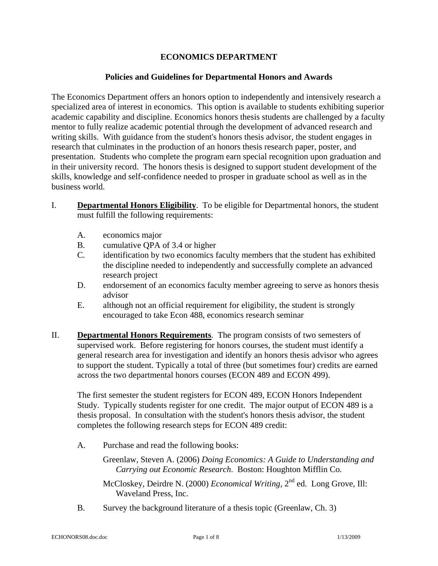### **ECONOMICS DEPARTMENT**

### **Policies and Guidelines for Departmental Honors and Awards**

The Economics Department offers an honors option to independently and intensively research a specialized area of interest in economics. This option is available to students exhibiting superior academic capability and discipline. Economics honors thesis students are challenged by a faculty mentor to fully realize academic potential through the development of advanced research and writing skills. With guidance from the student's honors thesis advisor, the student engages in research that culminates in the production of an honors thesis research paper, poster, and presentation. Students who complete the program earn special recognition upon graduation and in their university record. The honors thesis is designed to support student development of the skills, knowledge and self-confidence needed to prosper in graduate school as well as in the business world.

- I. **Departmental Honors Eligibility**. To be eligible for Departmental honors, the student must fulfill the following requirements:
	- A. economics major
	- B. cumulative QPA of 3.4 or higher
	- C. identification by two economics faculty members that the student has exhibited the discipline needed to independently and successfully complete an advanced research project
	- D. endorsement of an economics faculty member agreeing to serve as honors thesis advisor
	- E. although not an official requirement for eligibility, the student is strongly encouraged to take Econ 488, economics research seminar
- II. **Departmental Honors Requirements**. The program consists of two semesters of supervised work. Before registering for honors courses, the student must identify a general research area for investigation and identify an honors thesis advisor who agrees to support the student. Typically a total of three (but sometimes four) credits are earned across the two departmental honors courses (ECON 489 and ECON 499).

The first semester the student registers for ECON 489, ECON Honors Independent Study. Typically students register for one credit. The major output of ECON 489 is a thesis proposal. In consultation with the student's honors thesis advisor, the student completes the following research steps for ECON 489 credit:

A. Purchase and read the following books:

Greenlaw, Steven A. (2006) *Doing Economics: A Guide to Understanding and Carrying out Economic Research*. Boston: Houghton Mifflin Co.

McCloskey, Deirdre N. (2000) *Economical Writing*, 2nd ed. Long Grove, Ill: Waveland Press, Inc.

B. Survey the background literature of a thesis topic (Greenlaw, Ch. 3)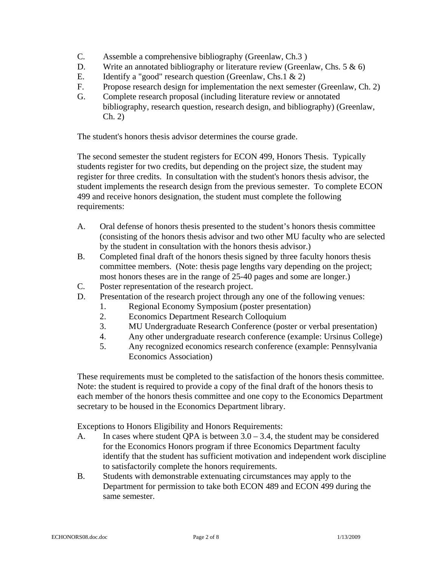- C. Assemble a comprehensive bibliography (Greenlaw, Ch.3 )
- D. Write an annotated bibliography or literature review (Greenlaw, Chs. 5 & 6)
- E. Identify a "good" research question (Greenlaw, Chs.1  $\&$  2)
- F. Propose research design for implementation the next semester (Greenlaw, Ch. 2)
- G. Complete research proposal (including literature review or annotated bibliography, research question, research design, and bibliography) (Greenlaw, Ch. 2)

The student's honors thesis advisor determines the course grade.

The second semester the student registers for ECON 499, Honors Thesis. Typically students register for two credits, but depending on the project size, the student may register for three credits. In consultation with the student's honors thesis advisor, the student implements the research design from the previous semester. To complete ECON 499 and receive honors designation, the student must complete the following requirements:

- A. Oral defense of honors thesis presented to the student's honors thesis committee (consisting of the honors thesis advisor and two other MU faculty who are selected by the student in consultation with the honors thesis advisor.)
- B. Completed final draft of the honors thesis signed by three faculty honors thesis committee members. (Note: thesis page lengths vary depending on the project; most honors theses are in the range of 25-40 pages and some are longer.)
- C. Poster representation of the research project.
- D. Presentation of the research project through any one of the following venues:
	- 1. Regional Economy Symposium (poster presentation)
	- 2. Economics Department Research Colloquium
	- 3. MU Undergraduate Research Conference (poster or verbal presentation)
	- 4. Any other undergraduate research conference (example: Ursinus College)
	- 5. Any recognized economics research conference (example: Pennsylvania Economics Association)

These requirements must be completed to the satisfaction of the honors thesis committee. Note: the student is required to provide a copy of the final draft of the honors thesis to each member of the honors thesis committee and one copy to the Economics Department secretary to be housed in the Economics Department library.

Exceptions to Honors Eligibility and Honors Requirements:

- A. In cases where student QPA is between  $3.0 3.4$ , the student may be considered for the Economics Honors program if three Economics Department faculty identify that the student has sufficient motivation and independent work discipline to satisfactorily complete the honors requirements.
- B. Students with demonstrable extenuating circumstances may apply to the Department for permission to take both ECON 489 and ECON 499 during the same semester.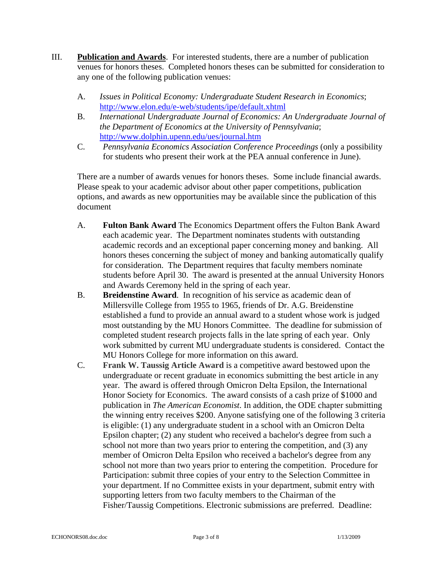- III. **Publication and Awards**. For interested students, there are a number of publication venues for honors theses. Completed honors theses can be submitted for consideration to any one of the following publication venues:
	- A. *Issues in Political Economy: Undergraduate Student Research in Economics*; <http://www.elon.edu/e-web/students/ipe/default.xhtml>
	- B. *International Undergraduate Journal of Economics: An Undergraduate Journal of the Department of Economics at the University of Pennsylvania*; <http://www.dolphin.upenn.edu/ues/journal.htm>
	- C. *Pennsylvania Economics Association Conference Proceedings* (only a possibility for students who present their work at the PEA annual conference in June).

There are a number of awards venues for honors theses. Some include financial awards. Please speak to your academic advisor about other paper competitions, publication options, and awards as new opportunities may be available since the publication of this document

- A. **Fulton Bank Award** The Economics Department offers the Fulton Bank Award each academic year. The Department nominates students with outstanding academic records and an exceptional paper concerning money and banking. All honors theses concerning the subject of money and banking automatically qualify for consideration. The Department requires that faculty members nominate students before April 30. The award is presented at the annual University Honors and Awards Ceremony held in the spring of each year.
- B. **Breidenstine Award**. In recognition of his service as academic dean of Millersville College from 1955 to 1965, friends of Dr. A.G. Breidenstine established a fund to provide an annual award to a student whose work is judged most outstanding by the MU Honors Committee. The deadline for submission of completed student research projects falls in the late spring of each year. Only work submitted by current MU undergraduate students is considered. Contact the MU Honors College for more information on this award.
- C. **Frank W. Taussig Article Award** is a competitive award bestowed upon the undergraduate or recent graduate in economics submitting the best article in any year. The award is offered through Omicron Delta Epsilon, the International Honor Society for Economics. The award consists of a cash prize of \$1000 and publication in *The American Economist*. In addition, the ODE chapter submitting the winning entry receives \$200. Anyone satisfying one of the following 3 criteria is eligible: (1) any undergraduate student in a school with an Omicron Delta Epsilon chapter; (2) any student who received a bachelor's degree from such a school not more than two years prior to entering the competition, and (3) any member of Omicron Delta Epsilon who received a bachelor's degree from any school not more than two years prior to entering the competition. Procedure for Participation: submit three copies of your entry to the Selection Committee in your department. If no Committee exists in your department, submit entry with supporting letters from two faculty members to the Chairman of the Fisher/Taussig Competitions. Electronic submissions are preferred. Deadline: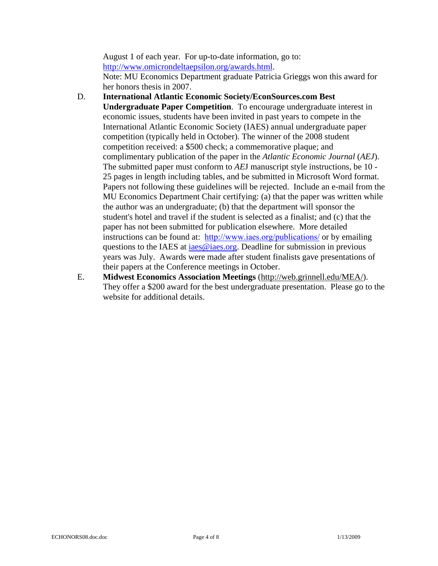August 1 of each year. For up-to-date information, go to: <http://www.omicrondeltaepsilon.org/awards.html>. Note: MU Economics Department graduate Patricia Grieggs won this award for her honors thesis in 2007.

- D. **International Atlantic Economic Society/EconSources.com Best Undergraduate Paper Competition**. To encourage undergraduate interest in economic issues, students have been invited in past years to compete in the International Atlantic Economic Society (IAES) annual undergraduate paper competition (typically held in October). The winner of the 2008 student competition received: a \$500 check; a commemorative plaque; and complimentary publication of the paper in the *Atlantic Economic Journal* (*AEJ*). The submitted paper must conform to *AE*J manuscript style instructions, be 10 - 25 pages in length including tables, and be submitted in Microsoft Word format. Papers not following these guidelines will be rejected. Include an e-mail from the MU Economics Department Chair certifying: (a) that the paper was written while the author was an undergraduate; (b) that the department will sponsor the student's hotel and travel if the student is selected as a finalist; and (c) that the paper has not been submitted for publication elsewhere. More detailed instructions can be found at: <http://www.iaes.org/publications/> or by emailing questions to the IAES at iaes@iae[s.org. Deadline](mailto:iaes@iaes.org) for submission in previous years was July. Awards were made after student finalists gave presentations of their papers at the Conference meetings in October.
- E. **Midwest Economics Association Meetings** ([http://web.grinnell.edu/MEA/\)](http://web.grinnell.edu/MEA/). They offer a \$200 award for the best undergraduate presentation. Please go to the website for additional details.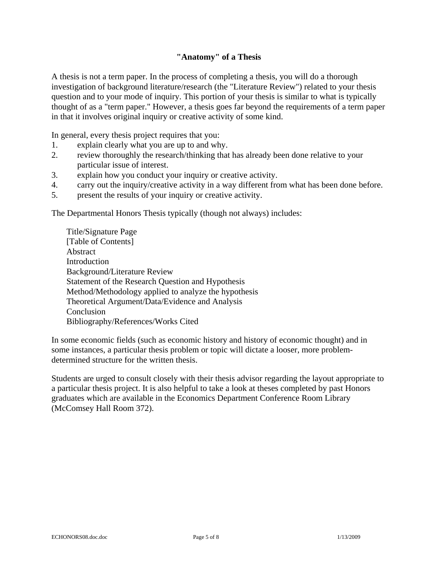### **"Anatomy" of a Thesis**

A thesis is not a term paper. In the process of completing a thesis, you will do a thorough investigation of background literature/research (the "Literature Review") related to your thesis question and to your mode of inquiry. This portion of your thesis is similar to what is typically thought of as a "term paper." However, a thesis goes far beyond the requirements of a term paper in that it involves original inquiry or creative activity of some kind.

In general, every thesis project requires that you:

- 1. explain clearly what you are up to and why.
- 2. review thoroughly the research/thinking that has already been done relative to your particular issue of interest.
- 3. explain how you conduct your inquiry or creative activity.
- 4. carry out the inquiry/creative activity in a way different from what has been done before.
- 5. present the results of your inquiry or creative activity.

The Departmental Honors Thesis typically (though not always) includes:

 Title/Signature Page [Table of Contents] Abstract **Introduction**  Background/Literature Review Statement of the Research Question and Hypothesis Method/Methodology applied to analyze the hypothesis Theoretical Argument/Data/Evidence and Analysis Conclusion Bibliography/References/Works Cited

In some economic fields (such as economic history and history of economic thought) and in some instances, a particular thesis problem or topic will dictate a looser, more problemdetermined structure for the written thesis.

Students are urged to consult closely with their thesis advisor regarding the layout appropriate to a particular thesis project. It is also helpful to take a look at theses completed by past Honors graduates which are available in the Economics Department Conference Room Library (McComsey Hall Room 372).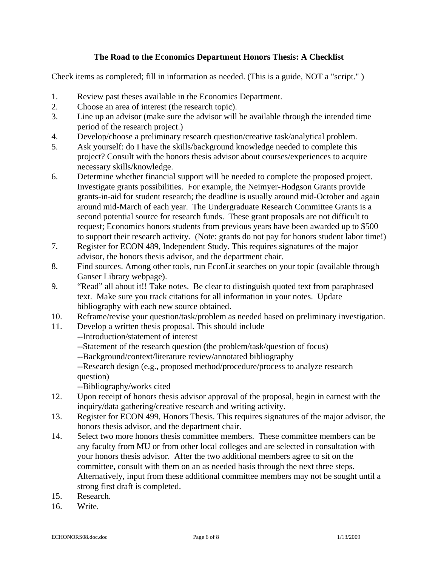# **The Road to the Economics Department Honors Thesis: A Checklist**

Check items as completed; fill in information as needed. (This is a guide, NOT a "script." )

- 1. Review past theses available in the Economics Department.
- 2. Choose an area of interest (the research topic).
- 3. Line up an advisor (make sure the advisor will be available through the intended time period of the research project.)
- 4. Develop/choose a preliminary research question/creative task/analytical problem.
- 5. Ask yourself: do I have the skills/background knowledge needed to complete this project? Consult with the honors thesis advisor about courses/experiences to acquire necessary skills/knowledge.
- 6. Determine whether financial support will be needed to complete the proposed project. Investigate grants possibilities. For example, the Neimyer-Hodgson Grants provide grants-in-aid for student research; the deadline is usually around mid-October and again around mid-March of each year. The Undergraduate Research Committee Grants is a second potential source for research funds. These grant proposals are not difficult to request; Economics honors students from previous years have been awarded up to \$500 to support their research activity. (Note: grants do not pay for honors student labor time!)
- 7. Register for ECON 489, Independent Study. This requires signatures of the major advisor, the honors thesis advisor, and the department chair.
- 8. Find sources. Among other tools, run EconLit searches on your topic (available through Ganser Library webpage).
- 9. "Read" all about it!! Take notes. Be clear to distinguish quoted text from paraphrased text. Make sure you track citations for all information in your notes. Update bibliography with each new source obtained.
- 10. Reframe/revise your question/task/problem as needed based on preliminary investigation.
- 11. Develop a written thesis proposal. This should include
	- --Introduction/statement of interest
	- --Statement of the research question (the problem/task/question of focus)
	- --Background/context/literature review/annotated bibliography
	- --Research design (e.g., proposed method/procedure/process to analyze research question)

--Bibliography/works cited

- 12. Upon receipt of honors thesis advisor approval of the proposal, begin in earnest with the inquiry/data gathering/creative research and writing activity.
- 13. Register for ECON 499, Honors Thesis. This requires signatures of the major advisor, the honors thesis advisor, and the department chair.
- 14. Select two more honors thesis committee members. These committee members can be any faculty from MU or from other local colleges and are selected in consultation with your honors thesis advisor. After the two additional members agree to sit on the committee, consult with them on an as needed basis through the next three steps. Alternatively, input from these additional committee members may not be sought until a strong first draft is completed.
- 15. Research.
- 16. Write.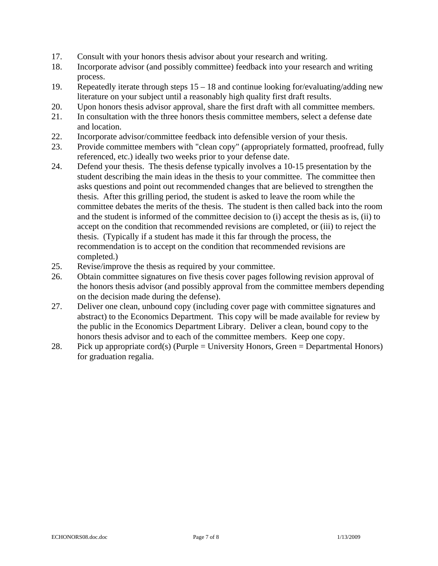- 17. Consult with your honors thesis advisor about your research and writing.
- 18. Incorporate advisor (and possibly committee) feedback into your research and writing process.
- 19. Repeatedly iterate through steps 15 18 and continue looking for/evaluating/adding new literature on your subject until a reasonably high quality first draft results.
- 20. Upon honors thesis advisor approval, share the first draft with all committee members.
- 21. In consultation with the three honors thesis committee members, select a defense date and location.
- 22. Incorporate advisor/committee feedback into defensible version of your thesis.
- 23. Provide committee members with "clean copy" (appropriately formatted, proofread, fully referenced, etc.) ideally two weeks prior to your defense date.
- 24. Defend your thesis. The thesis defense typically involves a 10-15 presentation by the student describing the main ideas in the thesis to your committee. The committee then asks questions and point out recommended changes that are believed to strengthen the thesis. After this grilling period, the student is asked to leave the room while the committee debates the merits of the thesis. The student is then called back into the room and the student is informed of the committee decision to (i) accept the thesis as is, (ii) to accept on the condition that recommended revisions are completed, or (iii) to reject the thesis. (Typically if a student has made it this far through the process, the recommendation is to accept on the condition that recommended revisions are completed.)
- 25. Revise/improve the thesis as required by your committee.
- 26. Obtain committee signatures on five thesis cover pages following revision approval of the honors thesis advisor (and possibly approval from the committee members depending on the decision made during the defense).
- 27. Deliver one clean, unbound copy (including cover page with committee signatures and abstract) to the Economics Department. This copy will be made available for review by the public in the Economics Department Library. Deliver a clean, bound copy to the honors thesis advisor and to each of the committee members. Keep one copy.
- 28. Pick up appropriate cord(s) (Purple  $=$  University Honors, Green  $=$  Departmental Honors) for graduation regalia.